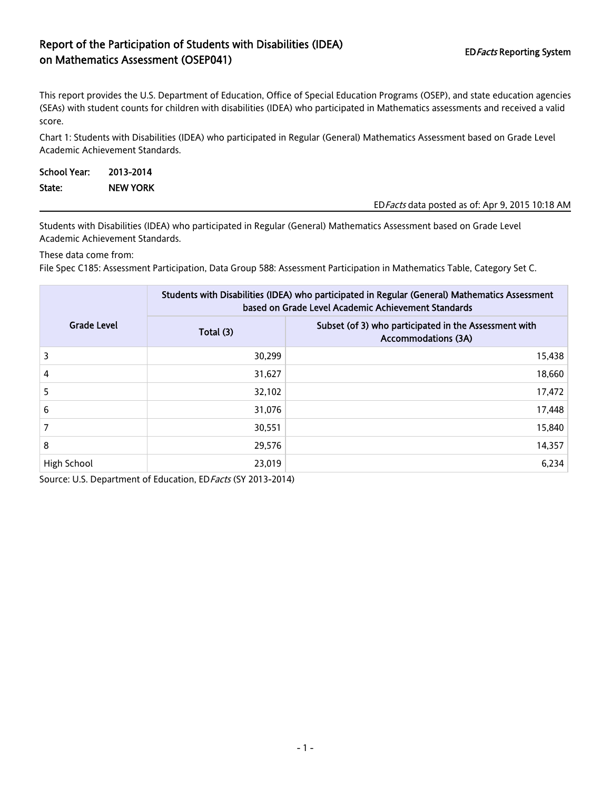## Report of the Participation of Students with Disabilities (IDEA) EDFacts Reporting System<br>
on Mathematics Assessment (OSEP041)

This report provides the U.S. Department of Education, Office of Special Education Programs (OSEP), and state education agencies (SEAs) with student counts for children with disabilities (IDEA) who participated in Mathematics assessments and received a valid score.

Chart 1: Students with Disabilities (IDEA) who participated in Regular (General) Mathematics Assessment based on Grade Level Academic Achievement Standards.

| School Year: | 2013-2014       |                                                  |
|--------------|-----------------|--------------------------------------------------|
| State:       | <b>NEW YORK</b> |                                                  |
|              |                 | ED Facts data posted as of: Apr 9, 2015 10:18 AM |

Students with Disabilities (IDEA) who participated in Regular (General) Mathematics Assessment based on Grade Level Academic Achievement Standards.

These data come from:

File Spec C185: Assessment Participation, Data Group 588: Assessment Participation in Mathematics Table, Category Set C.

|                    | Students with Disabilities (IDEA) who participated in Regular (General) Mathematics Assessment<br>based on Grade Level Academic Achievement Standards |                                                                                     |  |  |
|--------------------|-------------------------------------------------------------------------------------------------------------------------------------------------------|-------------------------------------------------------------------------------------|--|--|
| <b>Grade Level</b> | Total (3)                                                                                                                                             | Subset (of 3) who participated in the Assessment with<br><b>Accommodations (3A)</b> |  |  |
| 3                  | 30,299                                                                                                                                                | 15,438                                                                              |  |  |
| $\overline{4}$     | 31,627                                                                                                                                                | 18,660                                                                              |  |  |
| 5                  | 32,102                                                                                                                                                | 17,472                                                                              |  |  |
| 6                  | 31,076                                                                                                                                                | 17,448                                                                              |  |  |
|                    | 30,551                                                                                                                                                | 15,840                                                                              |  |  |
| 8                  | 29,576                                                                                                                                                | 14,357                                                                              |  |  |
| High School        | 23,019                                                                                                                                                | 6,234                                                                               |  |  |

Source: U.S. Department of Education, ED Facts (SY 2013-2014)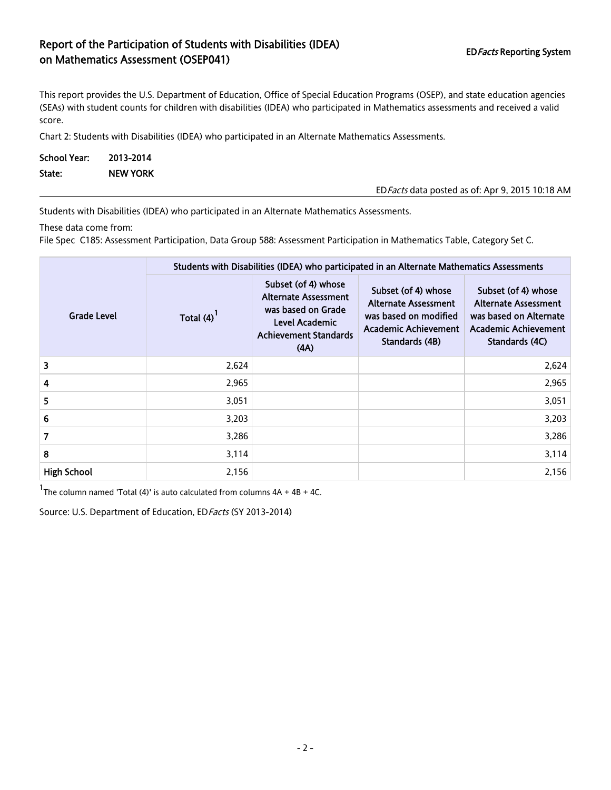## Report of the Participation of Students with Disabilities (IDEA) EDFacts Reporting System<br>
on Mathematics Assessment (OSEP041)

This report provides the U.S. Department of Education, Office of Special Education Programs (OSEP), and state education agencies (SEAs) with student counts for children with disabilities (IDEA) who participated in Mathematics assessments and received a valid score.

Chart 2: Students with Disabilities (IDEA) who participated in an Alternate Mathematics Assessments.

| School Year: | 2013-2014       |                                                  |
|--------------|-----------------|--------------------------------------------------|
| State:       | <b>NEW YORK</b> |                                                  |
|              |                 | ED Facts data posted as of: Apr 9, 2015 10:18 AM |

Students with Disabilities (IDEA) who participated in an Alternate Mathematics Assessments.

These data come from:

File Spec C185: Assessment Participation, Data Group 588: Assessment Participation in Mathematics Table, Category Set C.

|                    | Students with Disabilities (IDEA) who participated in an Alternate Mathematics Assessments |                                                                                                                                    |                                                                                                                       |                                                                                                                        |  |  |
|--------------------|--------------------------------------------------------------------------------------------|------------------------------------------------------------------------------------------------------------------------------------|-----------------------------------------------------------------------------------------------------------------------|------------------------------------------------------------------------------------------------------------------------|--|--|
| <b>Grade Level</b> | Total $(4)$ <sup>1</sup>                                                                   | Subset (of 4) whose<br><b>Alternate Assessment</b><br>was based on Grade<br>Level Academic<br><b>Achievement Standards</b><br>(AA) | Subset (of 4) whose<br><b>Alternate Assessment</b><br>was based on modified<br>Academic Achievement<br>Standards (4B) | Subset (of 4) whose<br><b>Alternate Assessment</b><br>was based on Alternate<br>Academic Achievement<br>Standards (4C) |  |  |
| 3                  | 2,624                                                                                      |                                                                                                                                    |                                                                                                                       | 2,624                                                                                                                  |  |  |
| 4                  | 2,965                                                                                      |                                                                                                                                    |                                                                                                                       | 2,965                                                                                                                  |  |  |
| 5                  | 3,051                                                                                      |                                                                                                                                    |                                                                                                                       | 3,051                                                                                                                  |  |  |
| 6                  | 3,203                                                                                      |                                                                                                                                    |                                                                                                                       | 3,203                                                                                                                  |  |  |
| 7                  | 3,286                                                                                      |                                                                                                                                    |                                                                                                                       | 3,286                                                                                                                  |  |  |
| 8                  | 3,114                                                                                      |                                                                                                                                    |                                                                                                                       | 3,114                                                                                                                  |  |  |
| <b>High School</b> | 2,156                                                                                      |                                                                                                                                    |                                                                                                                       | 2,156                                                                                                                  |  |  |

 $1$ The column named 'Total (4)' is auto calculated from columns  $4A + 4B + 4C$ .

Source: U.S. Department of Education, ED Facts (SY 2013-2014)